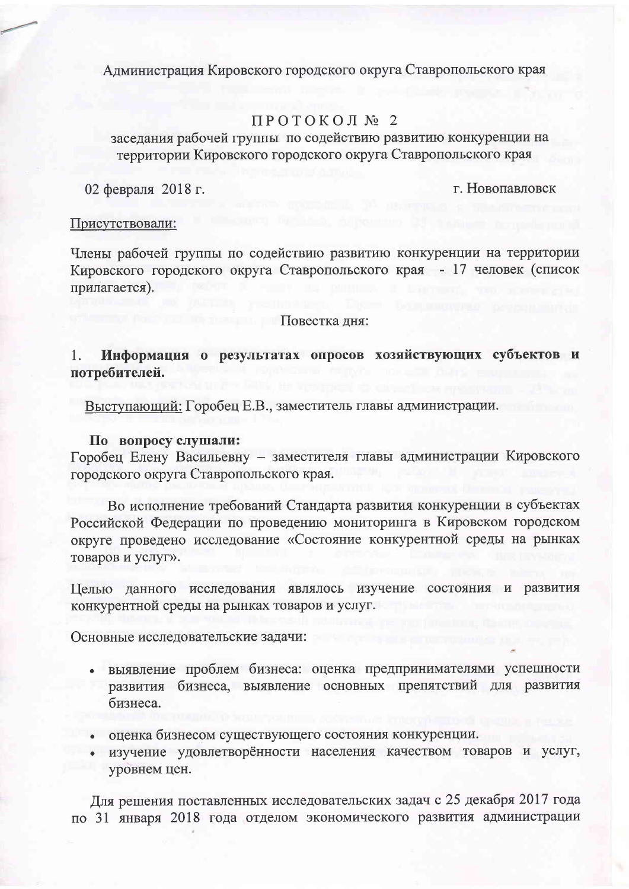Администрация Кировского городского округа Ставропольского края

# ПРОТОКОЛ № 2

заселания рабочей группы по содействию развитию конкуренции на территории Кировского городского округа Ставропольского края

02 февраля 2018 г.

г. Новопавловск

#### Присутствовали:

Члены рабочей группы по содействию развитию конкуренции на территории Кировского городского округа Ставропольского края - 17 человек (список прилагается).

#### Повестка лня:

Информация о результатах опросов хозяйствующих субъектов и  $1.$ потребителей.

Выступающий: Горобец Е.В., заместитель главы администрации.

### По вопросу слушали:

Горобец Елену Васильевну - заместителя главы администрации Кировского городского округа Ставропольского края.

Во исполнение требований Стандарта развития конкуренции в субъектах Российской Федерации по проведению мониторинга в Кировском городском округе проведено исследование «Состояние конкурентной среды на рынках товаров и услуг».

Целью данного исследования являлось изучение состояния и развития конкурентной среды на рынках товаров и услуг.

Основные исследовательские задачи:

- выявление проблем бизнеса: оценка предпринимателями успешности развития бизнеса, выявление основных препятствий для развития бизнеса.
- оценка бизнесом существующего состояния конкуренции.
- изучение удовлетворённости населения качеством товаров и услуг, уровнем цен.

Для решения поставленных исследовательских задач с 25 декабря 2017 года по 31 января 2018 года отделом экономического развития администрации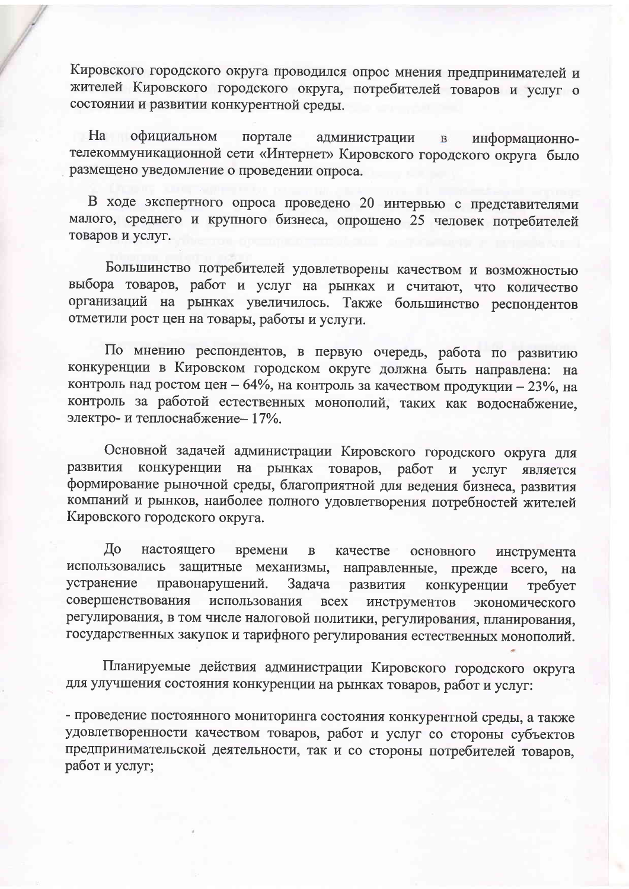Кировского городского округа проводился опрос мнения предпринимателей и жителей Кировского городского округа, потребителей товаров и услуг о состоянии и развитии конкурентной среды.

 $Ha$ официальном портале администрации информационно- $\, {\bf B}$ телекоммуникационной сети «Интернет» Кировского городского округа было размещено уведомление о проведении опроса.

В ходе экспертного опроса проведено 20 интервью с представителями малого, среднего и крупного бизнеса, опрошено 25 человек потребителей товаров и услуг.

Большинство потребителей удовлетворены качеством и возможностью выбора товаров, работ и услуг на рынках и считают, что количество организаций на рынках увеличилось. Также большинство респондентов отметили рост цен на товары, работы и услуги.

По мнению респондентов, в первую очередь, работа по развитию конкуренции в Кировском городском округе должна быть направлена: на контроль над ростом цен - 64%, на контроль за качеством продукции - 23%, на контроль за работой естественных монополий, таких как водоснабжение, электро- и теплоснабжение- 17%.

Основной задачей администрации Кировского городского округа для конкуренции на рынках товаров, работ и услуг развития является формирование рыночной среды, благоприятной для ведения бизнеса, развития компаний и рынков, наиболее полного удовлетворения потребностей жителей Кировского городского округа.

До настоящего времени  $\, {\bf B}$ качестве основного инструмента использовались защитные механизмы, направленные, прежде всего, на устранение правонарушений. Задача развития конкуренции требует использования совершенствования **BCCX** инструментов экономического регулирования, в том числе налоговой политики, регулирования, планирования, государственных закупок и тарифного регулирования естественных монополий.

Планируемые действия администрации Кировского городского округа для улучшения состояния конкуренции на рынках товаров, работ и услуг:

- проведение постоянного мониторинга состояния конкурентной среды, а также удовлетворенности качеством товаров, работ и услуг со стороны субъектов предпринимательской деятельности, так и со стороны потребителей товаров, работ и услуг;